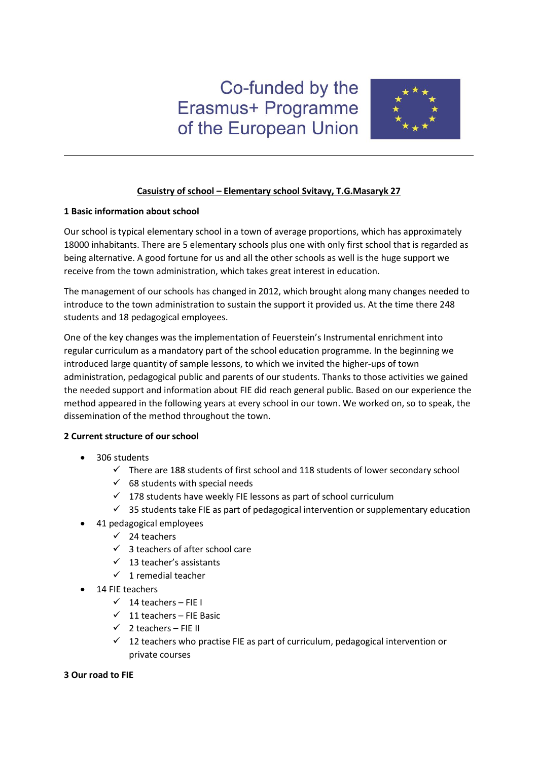# Co-funded by the Erasmus+ Programme of the European Union



# **Casuistry of school – Elementary school Svitavy, T.G.Masaryk 27**

# **1 Basic information about school**

Our school is typical elementary school in a town of average proportions, which has approximately 18000 inhabitants. There are 5 elementary schools plus one with only first school that is regarded as being alternative. A good fortune for us and all the other schools as well is the huge support we receive from the town administration, which takes great interest in education.

The management of our schools has changed in 2012, which brought along many changes needed to introduce to the town administration to sustain the support it provided us. At the time there 248 students and 18 pedagogical employees.

One of the key changes was the implementation of Feuerstein's Instrumental enrichment into regular curriculum as a mandatory part of the school education programme. In the beginning we introduced large quantity of sample lessons, to which we invited the higher-ups of town administration, pedagogical public and parents of our students. Thanks to those activities we gained the needed support and information about FIE did reach general public. Based on our experience the method appeared in the following years at every school in our town. We worked on, so to speak, the dissemination of the method throughout the town.

# **2 Current structure of our school**

- 306 students
	- $\checkmark$  There are 188 students of first school and 118 students of lower secondary school
	- $68$  students with special needs
	- $\checkmark$  178 students have weekly FIE lessons as part of school curriculum
	- $\checkmark$  35 students take FIE as part of pedagogical intervention or supplementary education
- 41 pedagogical employees
	- $\checkmark$  24 teachers
	- $\checkmark$  3 teachers of after school care
	- $\checkmark$  13 teacher's assistants
	- $\checkmark$  1 remedial teacher
- 14 FIE teachers
	- $\checkmark$  14 teachers FIE I
	- $\checkmark$  11 teachers FIE Basic
	- $\checkmark$  2 teachers FIE II
	- $\checkmark$  12 teachers who practise FIE as part of curriculum, pedagogical intervention or private courses

# **3 Our road to FIE**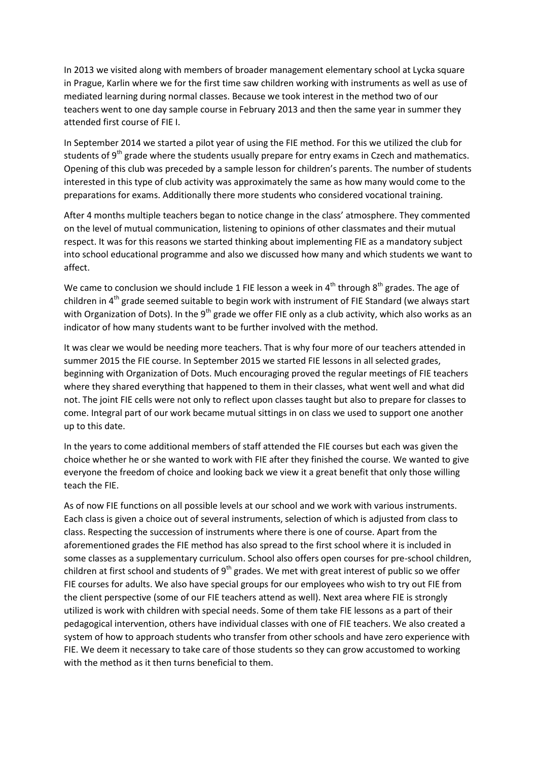In 2013 we visited along with members of broader management elementary school at Lycka square in Prague, Karlin where we for the first time saw children working with instruments as well as use of mediated learning during normal classes. Because we took interest in the method two of our teachers went to one day sample course in February 2013 and then the same year in summer they attended first course of FIE I.

In September 2014 we started a pilot year of using the FIE method. For this we utilized the club for students of 9<sup>th</sup> grade where the students usually prepare for entry exams in Czech and mathematics. Opening of this club was preceded by a sample lesson for children's parents. The number of students interested in this type of club activity was approximately the same as how many would come to the preparations for exams. Additionally there more students who considered vocational training.

After 4 months multiple teachers began to notice change in the class' atmosphere. They commented on the level of mutual communication, listening to opinions of other classmates and their mutual respect. It was for this reasons we started thinking about implementing FIE as a mandatory subject into school educational programme and also we discussed how many and which students we want to affect.

We came to conclusion we should include 1 FIE lesson a week in  $4<sup>th</sup>$  through  $8<sup>th</sup>$  grades. The age of children in  $4<sup>th</sup>$  grade seemed suitable to begin work with instrument of FIE Standard (we always start with Organization of Dots). In the 9<sup>th</sup> grade we offer FIE only as a club activity, which also works as an indicator of how many students want to be further involved with the method.

It was clear we would be needing more teachers. That is why four more of our teachers attended in summer 2015 the FIE course. In September 2015 we started FIE lessons in all selected grades, beginning with Organization of Dots. Much encouraging proved the regular meetings of FIE teachers where they shared everything that happened to them in their classes, what went well and what did not. The joint FIE cells were not only to reflect upon classes taught but also to prepare for classes to come. Integral part of our work became mutual sittings in on class we used to support one another up to this date.

In the years to come additional members of staff attended the FIE courses but each was given the choice whether he or she wanted to work with FIE after they finished the course. We wanted to give everyone the freedom of choice and looking back we view it a great benefit that only those willing teach the FIE.

As of now FIE functions on all possible levels at our school and we work with various instruments. Each class is given a choice out of several instruments, selection of which is adjusted from class to class. Respecting the succession of instruments where there is one of course. Apart from the aforementioned grades the FIE method has also spread to the first school where it is included in some classes as a supplementary curriculum. School also offers open courses for pre-school children, children at first school and students of  $9<sup>th</sup>$  grades. We met with great interest of public so we offer FIE courses for adults. We also have special groups for our employees who wish to try out FIE from the client perspective (some of our FIE teachers attend as well). Next area where FIE is strongly utilized is work with children with special needs. Some of them take FIE lessons as a part of their pedagogical intervention, others have individual classes with one of FIE teachers. We also created a system of how to approach students who transfer from other schools and have zero experience with FIE. We deem it necessary to take care of those students so they can grow accustomed to working with the method as it then turns beneficial to them.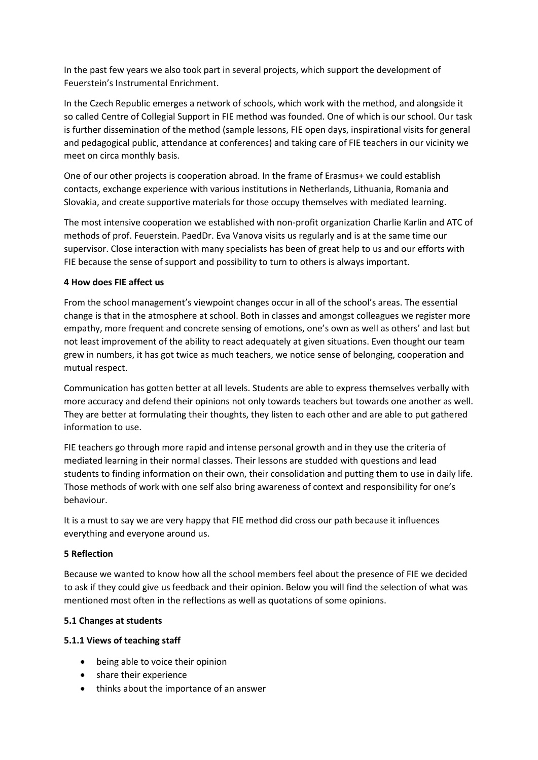In the past few years we also took part in several projects, which support the development of Feuerstein's Instrumental Enrichment.

In the Czech Republic emerges a network of schools, which work with the method, and alongside it so called Centre of Collegial Support in FIE method was founded. One of which is our school. Our task is further dissemination of the method (sample lessons, FIE open days, inspirational visits for general and pedagogical public, attendance at conferences) and taking care of FIE teachers in our vicinity we meet on circa monthly basis.

One of our other projects is cooperation abroad. In the frame of Erasmus+ we could establish contacts, exchange experience with various institutions in Netherlands, Lithuania, Romania and Slovakia, and create supportive materials for those occupy themselves with mediated learning.

The most intensive cooperation we established with non-profit organization Charlie Karlin and ATC of methods of prof. Feuerstein. PaedDr. Eva Vanova visits us regularly and is at the same time our supervisor. Close interaction with many specialists has been of great help to us and our efforts with FIE because the sense of support and possibility to turn to others is always important.

# **4 How does FIE affect us**

From the school management's viewpoint changes occur in all of the school's areas. The essential change is that in the atmosphere at school. Both in classes and amongst colleagues we register more empathy, more frequent and concrete sensing of emotions, one's own as well as others' and last but not least improvement of the ability to react adequately at given situations. Even thought our team grew in numbers, it has got twice as much teachers, we notice sense of belonging, cooperation and mutual respect.

Communication has gotten better at all levels. Students are able to express themselves verbally with more accuracy and defend their opinions not only towards teachers but towards one another as well. They are better at formulating their thoughts, they listen to each other and are able to put gathered information to use.

FIE teachers go through more rapid and intense personal growth and in they use the criteria of mediated learning in their normal classes. Their lessons are studded with questions and lead students to finding information on their own, their consolidation and putting them to use in daily life. Those methods of work with one self also bring awareness of context and responsibility for one's behaviour.

It is a must to say we are very happy that FIE method did cross our path because it influences everything and everyone around us.

# **5 Reflection**

Because we wanted to know how all the school members feel about the presence of FIE we decided to ask if they could give us feedback and their opinion. Below you will find the selection of what was mentioned most often in the reflections as well as quotations of some opinions.

# **5.1 Changes at students**

# **5.1.1 Views of teaching staff**

- being able to voice their opinion
- share their experience
- thinks about the importance of an answer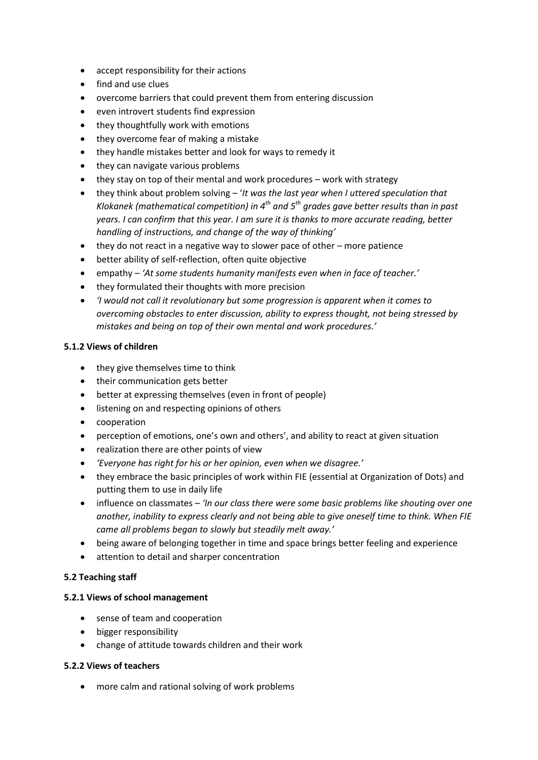- accept responsibility for their actions
- find and use clues
- overcome barriers that could prevent them from entering discussion
- even introvert students find expression
- they thoughtfully work with emotions
- they overcome fear of making a mistake
- they handle mistakes better and look for ways to remedy it
- they can navigate various problems
- they stay on top of their mental and work procedures work with strategy
- they think about problem solving '*It was the last year when I uttered speculation that Klokanek (mathematical competition) in 4th and 5th grades gave better results than in past years. I can confirm that this year. I am sure it is thanks to more accurate reading, better handling of instructions, and change of the way of thinking'*
- they do not react in a negative way to slower pace of other more patience
- better ability of self-reflection, often quite objective
- empathy *'At some students humanity manifests even when in face of teacher.'*
- they formulated their thoughts with more precision
- *'I would not call it revolutionary but some progression is apparent when it comes to overcoming obstacles to enter discussion, ability to express thought, not being stressed by mistakes and being on top of their own mental and work procedures.'*

# **5.1.2 Views of children**

- they give themselves time to think
- their communication gets better
- better at expressing themselves (even in front of people)
- **•** listening on and respecting opinions of others
- cooperation
- perception of emotions, one's own and others', and ability to react at given situation
- realization there are other points of view
- *'Everyone has right for his or her opinion, even when we disagree.'*
- they embrace the basic principles of work within FIE (essential at Organization of Dots) and putting them to use in daily life
- influence on classmates *'In our class there were some basic problems like shouting over one another, inability to express clearly and not being able to give oneself time to think. When FIE came all problems began to slowly but steadily melt away.'*
- being aware of belonging together in time and space brings better feeling and experience
- attention to detail and sharper concentration

# **5.2 Teaching staff**

# **5.2.1 Views of school management**

- sense of team and cooperation
- bigger responsibility
- change of attitude towards children and their work

# **5.2.2 Views of teachers**

more calm and rational solving of work problems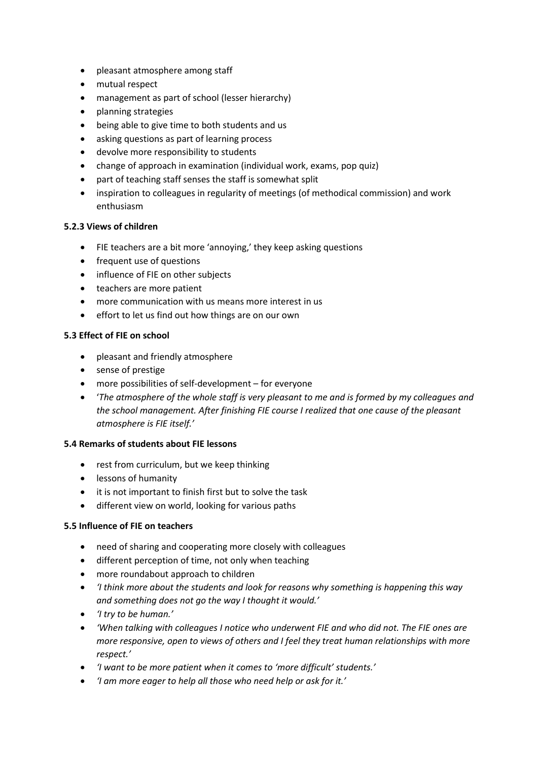- pleasant atmosphere among staff
- mutual respect
- management as part of school (lesser hierarchy)
- planning strategies
- being able to give time to both students and us
- asking questions as part of learning process
- devolve more responsibility to students
- change of approach in examination (individual work, exams, pop quiz)
- part of teaching staff senses the staff is somewhat split
- inspiration to colleagues in regularity of meetings (of methodical commission) and work enthusiasm

#### **5.2.3 Views of children**

- FIE teachers are a bit more 'annoying,' they keep asking questions
- frequent use of questions
- influence of FIE on other subjects
- teachers are more patient
- more communication with us means more interest in us
- effort to let us find out how things are on our own

# **5.3 Effect of FIE on school**

- pleasant and friendly atmosphere
- sense of prestige
- more possibilities of self-development for everyone
- '*The atmosphere of the whole staff is very pleasant to me and is formed by my colleagues and the school management. After finishing FIE course I realized that one cause of the pleasant atmosphere is FIE itself.'*

#### **5.4 Remarks of students about FIE lessons**

- rest from curriculum, but we keep thinking
- lessons of humanity
- it is not important to finish first but to solve the task
- different view on world, looking for various paths

# **5.5 Influence of FIE on teachers**

- need of sharing and cooperating more closely with colleagues
- different perception of time, not only when teaching
- more roundabout approach to children
- *'I think more about the students and look for reasons why something is happening this way and something does not go the way I thought it would.'*
- *'I try to be human.'*
- *'When talking with colleagues I notice who underwent FIE and who did not. The FIE ones are more responsive, open to views of others and I feel they treat human relationships with more respect.'*
- *'I want to be more patient when it comes to 'more difficult' students.'*
- *'I am more eager to help all those who need help or ask for it.'*